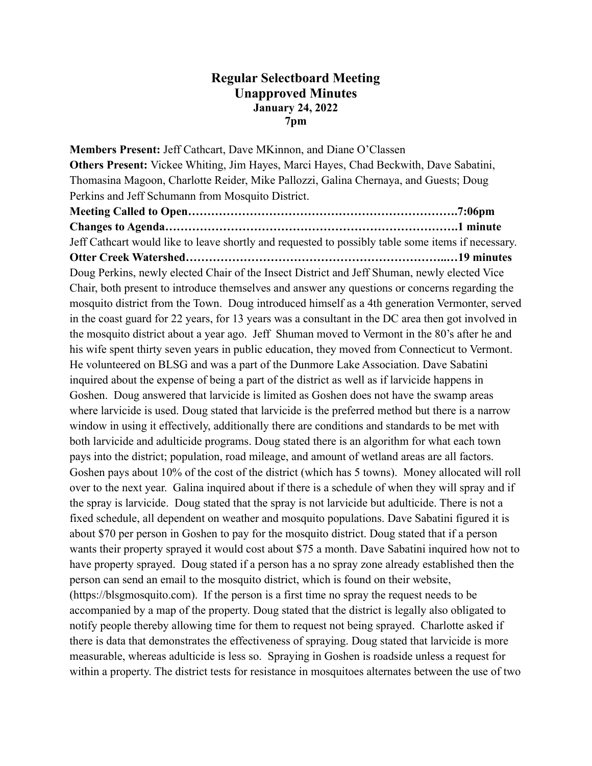## **Regular Selectboard Meeting Unapproved Minutes January 24, 2022 7pm**

**Members Present:** Jeff Cathcart, Dave MKinnon, and Diane O'Classen **Others Present:** Vickee Whiting, Jim Hayes, Marci Hayes, Chad Beckwith, Dave Sabatini, Thomasina Magoon, Charlotte Reider, Mike Pallozzi, Galina Chernaya, and Guests; Doug Perkins and Jeff Schumann from Mosquito District. **Meeting Called to Open…………………………………………………………….7:06pm Changes to Agenda………………………………………………………………….1 minute** Jeff Cathcart would like to leave shortly and requested to possibly table some items if necessary. **Otter Creek Watershed…………………………………………………………..…19 minutes** Doug Perkins, newly elected Chair of the Insect District and Jeff Shuman, newly elected Vice Chair, both present to introduce themselves and answer any questions or concerns regarding the mosquito district from the Town. Doug introduced himself as a 4th generation Vermonter, served in the coast guard for 22 years, for 13 years was a consultant in the DC area then got involved in the mosquito district about a year ago. Jeff Shuman moved to Vermont in the 80's after he and his wife spent thirty seven years in public education, they moved from Connecticut to Vermont. He volunteered on BLSG and was a part of the Dunmore Lake Association. Dave Sabatini inquired about the expense of being a part of the district as well as if larvicide happens in Goshen. Doug answered that larvicide is limited as Goshen does not have the swamp areas where larvicide is used. Doug stated that larvicide is the preferred method but there is a narrow window in using it effectively, additionally there are conditions and standards to be met with both larvicide and adulticide programs. Doug stated there is an algorithm for what each town pays into the district; population, road mileage, and amount of wetland areas are all factors. Goshen pays about 10% of the cost of the district (which has 5 towns). Money allocated will roll over to the next year. Galina inquired about if there is a schedule of when they will spray and if the spray is larvicide. Doug stated that the spray is not larvicide but adulticide. There is not a fixed schedule, all dependent on weather and mosquito populations. Dave Sabatini figured it is about \$70 per person in Goshen to pay for the mosquito district. Doug stated that if a person wants their property sprayed it would cost about \$75 a month. Dave Sabatini inquired how not to have property sprayed. Doug stated if a person has a no spray zone already established then the person can send an email to the mosquito district, which is found on their website, (https://blsgmosquito.com). If the person is a first time no spray the request needs to be accompanied by a map of the property. Doug stated that the district is legally also obligated to notify people thereby allowing time for them to request not being sprayed. Charlotte asked if there is data that demonstrates the effectiveness of spraying. Doug stated that larvicide is more measurable, whereas adulticide is less so. Spraying in Goshen is roadside unless a request for within a property. The district tests for resistance in mosquitoes alternates between the use of two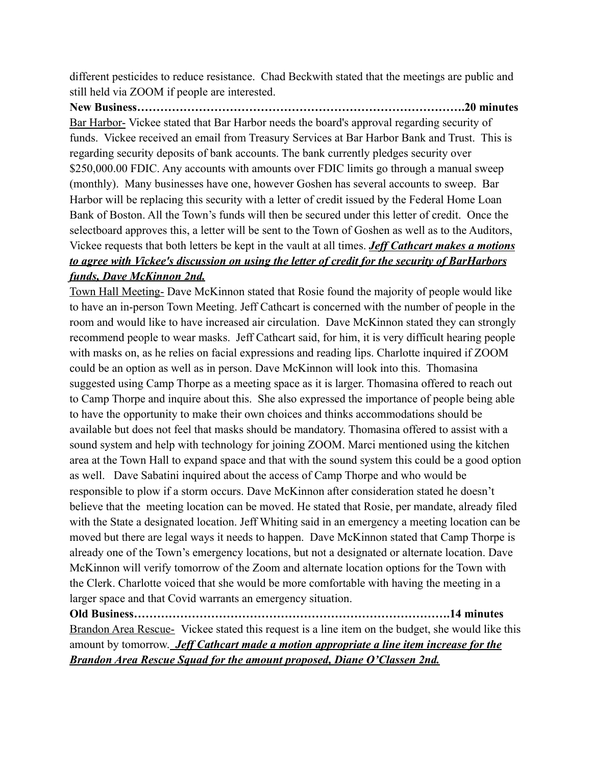different pesticides to reduce resistance. Chad Beckwith stated that the meetings are public and still held via ZOOM if people are interested.

**New Business………………………………………………………………………….20 minutes** Bar Harbor- Vickee stated that Bar Harbor needs the board's approval regarding security of funds. Vickee received an email from Treasury Services at Bar Harbor Bank and Trust. This is regarding security deposits of bank accounts. The bank currently pledges security over \$250,000.00 FDIC. Any accounts with amounts over FDIC limits go through a manual sweep (monthly). Many businesses have one, however Goshen has several accounts to sweep. Bar Harbor will be replacing this security with a letter of credit issued by the Federal Home Loan Bank of Boston. All the Town's funds will then be secured under this letter of credit. Once the selectboard approves this, a letter will be sent to the Town of Goshen as well as to the Auditors, Vickee requests that both letters be kept in the vault at all times. *Jeff Cathcart makes a motions to agree with Vickee's discussion on using the letter of credit for the security of BarHarbors funds, Dave McKinnon 2nd.*

Town Hall Meeting- Dave McKinnon stated that Rosie found the majority of people would like to have an in-person Town Meeting. Jeff Cathcart is concerned with the number of people in the room and would like to have increased air circulation. Dave McKinnon stated they can strongly recommend people to wear masks. Jeff Cathcart said, for him, it is very difficult hearing people with masks on, as he relies on facial expressions and reading lips. Charlotte inquired if ZOOM could be an option as well as in person. Dave McKinnon will look into this. Thomasina suggested using Camp Thorpe as a meeting space as it is larger. Thomasina offered to reach out to Camp Thorpe and inquire about this. She also expressed the importance of people being able to have the opportunity to make their own choices and thinks accommodations should be available but does not feel that masks should be mandatory. Thomasina offered to assist with a sound system and help with technology for joining ZOOM. Marci mentioned using the kitchen area at the Town Hall to expand space and that with the sound system this could be a good option as well. Dave Sabatini inquired about the access of Camp Thorpe and who would be responsible to plow if a storm occurs. Dave McKinnon after consideration stated he doesn't believe that the meeting location can be moved. He stated that Rosie, per mandate, already filed with the State a designated location. Jeff Whiting said in an emergency a meeting location can be moved but there are legal ways it needs to happen. Dave McKinnon stated that Camp Thorpe is already one of the Town's emergency locations, but not a designated or alternate location. Dave McKinnon will verify tomorrow of the Zoom and alternate location options for the Town with the Clerk. Charlotte voiced that she would be more comfortable with having the meeting in a larger space and that Covid warrants an emergency situation.

**Old Business……………………………………………………………………….14 minutes** Brandon Area Rescue- Vickee stated this request is a line item on the budget, she would like this amount by tomorrow. *Jeff Cathcart made a motion appropriate a line item increase for the Brandon Area Rescue Squad for the amount proposed, Diane O'Classen 2nd.*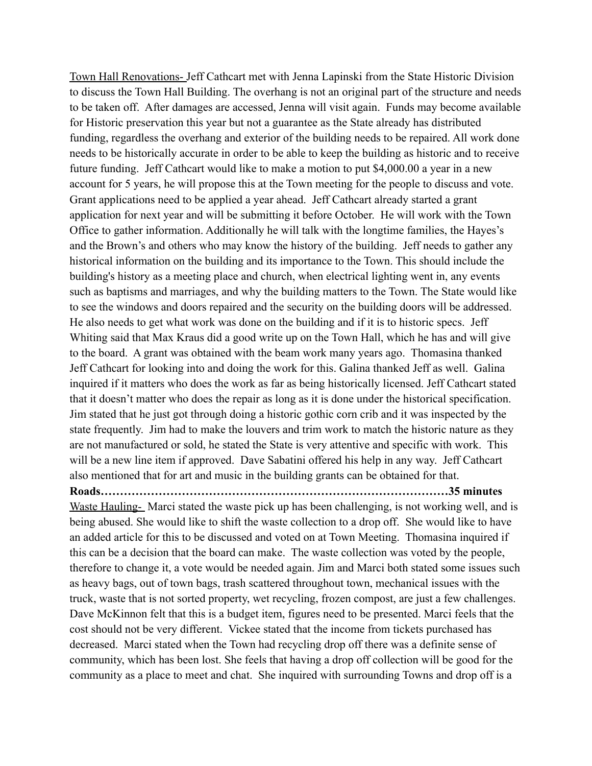Town Hall Renovations- Jeff Cathcart met with Jenna Lapinski from the State Historic Division to discuss the Town Hall Building. The overhang is not an original part of the structure and needs to be taken off. After damages are accessed, Jenna will visit again. Funds may become available for Historic preservation this year but not a guarantee as the State already has distributed funding, regardless the overhang and exterior of the building needs to be repaired. All work done needs to be historically accurate in order to be able to keep the building as historic and to receive future funding. Jeff Cathcart would like to make a motion to put \$4,000.00 a year in a new account for 5 years, he will propose this at the Town meeting for the people to discuss and vote. Grant applications need to be applied a year ahead. Jeff Cathcart already started a grant application for next year and will be submitting it before October. He will work with the Town Office to gather information. Additionally he will talk with the longtime families, the Hayes's and the Brown's and others who may know the history of the building. Jeff needs to gather any historical information on the building and its importance to the Town. This should include the building's history as a meeting place and church, when electrical lighting went in, any events such as baptisms and marriages, and why the building matters to the Town. The State would like to see the windows and doors repaired and the security on the building doors will be addressed. He also needs to get what work was done on the building and if it is to historic specs. Jeff Whiting said that Max Kraus did a good write up on the Town Hall, which he has and will give to the board. A grant was obtained with the beam work many years ago. Thomasina thanked Jeff Cathcart for looking into and doing the work for this. Galina thanked Jeff as well. Galina inquired if it matters who does the work as far as being historically licensed. Jeff Cathcart stated that it doesn't matter who does the repair as long as it is done under the historical specification. Jim stated that he just got through doing a historic gothic corn crib and it was inspected by the state frequently. Jim had to make the louvers and trim work to match the historic nature as they are not manufactured or sold, he stated the State is very attentive and specific with work. This will be a new line item if approved. Dave Sabatini offered his help in any way. Jeff Cathcart also mentioned that for art and music in the building grants can be obtained for that. **Roads………………………………………………………………………………35 minutes** Waste Hauling- Marci stated the waste pick up has been challenging, is not working well, and is being abused. She would like to shift the waste collection to a drop off. She would like to have an added article for this to be discussed and voted on at Town Meeting. Thomasina inquired if this can be a decision that the board can make. The waste collection was voted by the people, therefore to change it, a vote would be needed again. Jim and Marci both stated some issues such as heavy bags, out of town bags, trash scattered throughout town, mechanical issues with the truck, waste that is not sorted property, wet recycling, frozen compost, are just a few challenges.

Dave McKinnon felt that this is a budget item, figures need to be presented. Marci feels that the cost should not be very different. Vickee stated that the income from tickets purchased has decreased. Marci stated when the Town had recycling drop off there was a definite sense of community, which has been lost. She feels that having a drop off collection will be good for the community as a place to meet and chat. She inquired with surrounding Towns and drop off is a